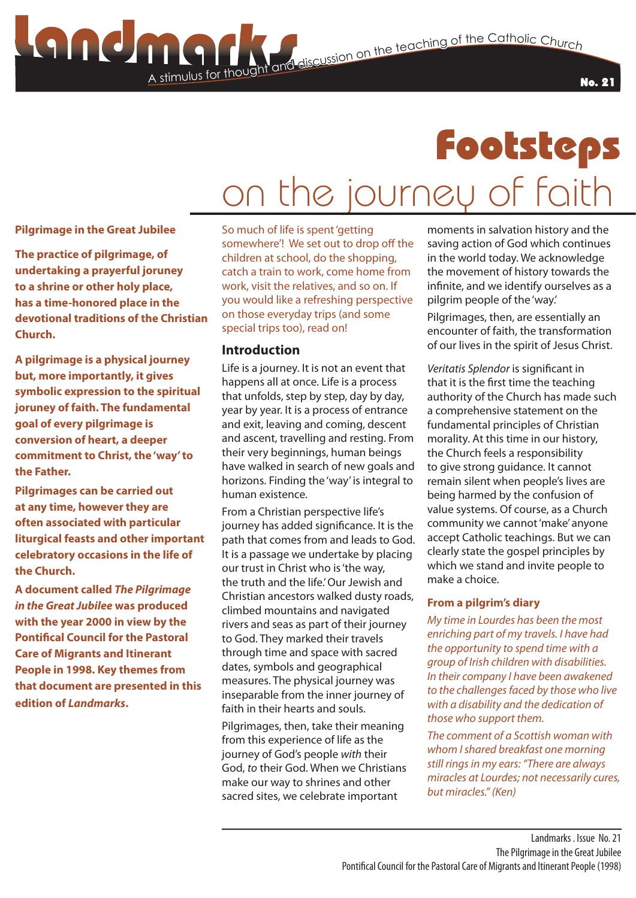No. 21

## Footsteps on the journey of faith

**Pilgrimage in the Great Jubilee**

**The practice of pilgrimage, of undertaking a prayerful joruney to a shrine or other holy place, has a time-honored place in the devotional traditions of the Christian Church.**

**A pilgrimage is a physical journey but, more importantly, it gives symbolic expression to the spiritual joruney of faith. The fundamental goal of every pilgrimage is conversion of heart, a deeper commitment to Christ, the 'way' to the Father.**

**Pilgrimages can be carried out at any time, however they are often associated with particular liturgical feasts and other important celebratory occasions in the life of the Church.** 

**A document called** *The Pilgrimage in the Great Jubilee* **was produced with the year 2000 in view by the Pontifical Council for the Pastoral Care of Migrants and Itinerant People in 1998. Key themes from that document are presented in this edition of** *Landmarks***.**

So much of life is spent 'getting somewhere'! We set out to drop off the children at school, do the shopping, catch a train to work, come home from work, visit the relatives, and so on. If you would like a refreshing perspective on those everyday trips (and some special trips too), read on!

### **Introduction**

A stimulus for thought

Life is a journey. It is not an event that happens all at once. Life is a process that unfolds, step by step, day by day, year by year. It is a process of entrance and exit, leaving and coming, descent and ascent, travelling and resting. From their very beginnings, human beings have walked in search of new goals and horizons. Finding the 'way' is integral to human existence.

From a Christian perspective life's journey has added significance. It is the path that comes from and leads to God. It is a passage we undertake by placing our trust in Christ who is 'the way, the truth and the life.' Our Jewish and Christian ancestors walked dusty roads, climbed mountains and navigated rivers and seas as part of their journey to God. They marked their travels through time and space with sacred dates, symbols and geographical measures. The physical journey was inseparable from the inner journey of faith in their hearts and souls.

Pilgrimages, then, take their meaning from this experience of life as the journey of God's people *with* their God, *to* their God. When we Christians make our way to shrines and other sacred sites, we celebrate important

moments in salvation history and the saving action of God which continues in the world today. We acknowledge the movement of history towards the infinite, and we identify ourselves as a pilgrim people of the 'way.'

Pilgrimages, then, are essentially an encounter of faith, the transformation of our lives in the spirit of Jesus Christ.

*Veritatis Splendor* is significant in that it is the first time the teaching authority of the Church has made such a comprehensive statement on the fundamental principles of Christian morality. At this time in our history, the Church feels a responsibility to give strong guidance. It cannot remain silent when people's lives are being harmed by the confusion of value systems. Of course, as a Church community we cannot 'make' anyone accept Catholic teachings. But we can clearly state the gospel principles by which we stand and invite people to make a choice.

#### **From a pilgrim's diary**

*My time in Lourdes has been the most enriching part of my travels. I have had the opportunity to spend time with a group of Irish children with disabilities. In their company I have been awakened to the challenges faced by those who live with a disability and the dedication of those who support them.*

*The comment of a Scottish woman with whom I shared breakfast one morning still rings in my ears: "There are always miracles at Lourdes; not necessarily cures, but miracles." (Ken)*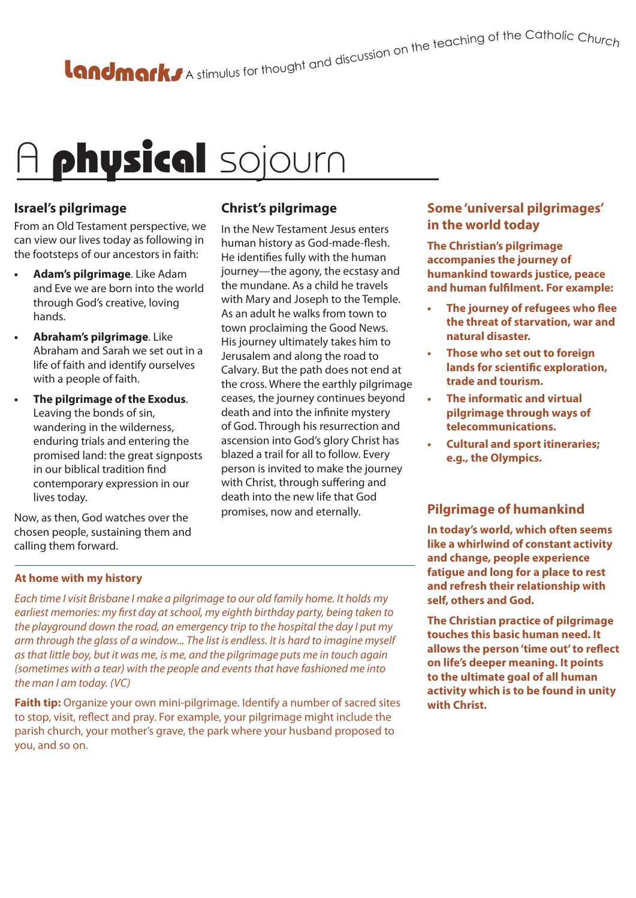# A stimulus for thought and discussion on the teaching of the Catholic Churc<sub>h</sub>

# A physical sojourn

## **Israel's pilgrimage**

From an Old Testament perspective, we can view our lives today as following in the footsteps of our ancestors in faith:

- **• Adam's pilgrimage**. Like Adam and Eve we are born into the world through God's creative, loving hands.
- **• Abraham's pilgrimage**. Like Abraham and Sarah we set out in a life of faith and identify ourselves with a people of faith.
- **• The pilgrimage of the Exodus**. Leaving the bonds of sin, wandering in the wilderness, enduring trials and entering the promised land: the great signposts in our biblical tradition find contemporary expression in our lives today.

Now, as then, God watches over the chosen people, sustaining them and calling them forward.

## **Christ's pilgrimage**

In the New Testament Jesus enters human history as God-made-flesh. He identifies fully with the human journey—the agony, the ecstasy and the mundane. As a child he travels with Mary and Joseph to the Temple. As an adult he walks from town to town proclaiming the Good News. His journey ultimately takes him to Jerusalem and along the road to Calvary. But the path does not end at the cross. Where the earthly pilgrimage ceases, the journey continues beyond death and into the infinite mystery of God. Through his resurrection and ascension into God's glory Christ has blazed a trail for all to follow. Every person is invited to make the journey with Christ, through suffering and death into the new life that God promises, now and eternally.

## **Some 'universal pilgrimages' in the world today**

**The Christian's pilgrimage accompanies the journey of humankind towards justice, peace and human fulfilment. For example:**

- **• The journey of refugees who flee the threat of starvation, war and natural disaster.**
- **• Those who set out to foreign lands for scientific exploration, trade and tourism.**
- **• The informatic and virtual pilgrimage through ways of telecommunications.**
- **• Cultural and sport itineraries; e.g., the Olympics.**

## **Pilgrimage of humankind**

**In today's world, which often seems like a whirlwind of constant activity and change, people experience fatigue and long for a place to rest and refresh their relationship with self, others and God.**

**The Christian practice of pilgrimage touches this basic human need. It allows the person 'time out' to reflect on life's deeper meaning. It points to the ultimate goal of all human activity which is to be found in unity with Christ.**

## **At home with my history**

*Each time I visit Brisbane I make a pilgrimage to our old family home. It holds my earliest memories: my first day at school, my eighth birthday party, being taken to the playground down the road, an emergency trip to the hospital the day I put my arm through the glass of a window... The list is endless. It is hard to imagine myself as that little boy, but it was me, is me, and the pilgrimage puts me in touch again (sometimes with a tear) with the people and events that have fashioned me into the man I am today. (VC)*

**Faith tip:** Organize your own mini-pilgrimage. Identify a number of sacred sites to stop, visit, reflect and pray. For example, your pilgrimage might include the parish church, your mother's grave, the park where your husband proposed to you, and so on.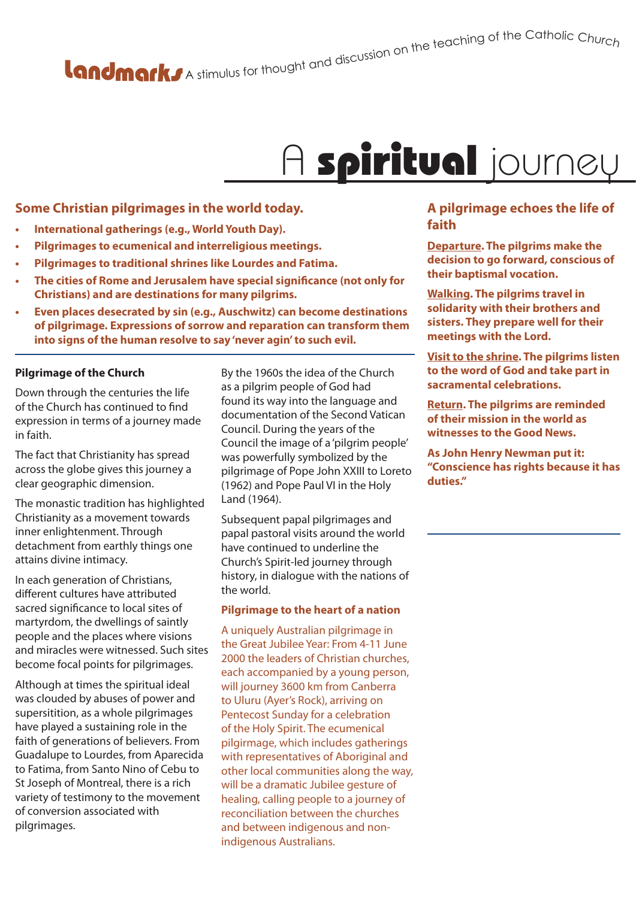A stimulus for thought and discussion on the teaching of the Catholic Churc<sub>h</sub>

## A spiritual journey

### **Some Christian pilgrimages in the world today.**

- **• International gatherings (e.g., World Youth Day).**
- **• Pilgrimages to ecumenical and interreligious meetings.**
- **• Pilgrimages to traditional shrines like Lourdes and Fatima.**
- **• The cities of Rome and Jerusalem have special significance (not only for Christians) and are destinations for many pilgrims.**
- **• Even places desecrated by sin (e.g., Auschwitz) can become destinations of pilgrimage. Expressions of sorrow and reparation can transform them into signs of the human resolve to say 'never agin' to such evil.**

#### **Pilgrimage of the Church**

Down through the centuries the life of the Church has continued to find expression in terms of a journey made in faith.

The fact that Christianity has spread across the globe gives this journey a clear geographic dimension.

The monastic tradition has highlighted Christianity as a movement towards inner enlightenment. Through detachment from earthly things one attains divine intimacy.

In each generation of Christians, different cultures have attributed sacred significance to local sites of martyrdom, the dwellings of saintly people and the places where visions and miracles were witnessed. Such sites become focal points for pilgrimages.

Although at times the spiritual ideal was clouded by abuses of power and supersitition, as a whole pilgrimages have played a sustaining role in the faith of generations of believers. From Guadalupe to Lourdes, from Aparecida to Fatima, from Santo Nino of Cebu to St Joseph of Montreal, there is a rich variety of testimony to the movement of conversion associated with pilgrimages.

By the 1960s the idea of the Church as a pilgrim people of God had found its way into the language and documentation of the Second Vatican Council. During the years of the Council the image of a 'pilgrim people' was powerfully symbolized by the pilgrimage of Pope John XXIII to Loreto (1962) and Pope Paul VI in the Holy Land (1964).

Subsequent papal pilgrimages and papal pastoral visits around the world have continued to underline the Church's Spirit-led journey through history, in dialogue with the nations of the world.

#### **Pilgrimage to the heart of a nation**

A uniquely Australian pilgrimage in the Great Jubilee Year: From 4-11 June 2000 the leaders of Christian churches, each accompanied by a young person, will journey 3600 km from Canberra to Uluru (Ayer's Rock), arriving on Pentecost Sunday for a celebration of the Holy Spirit. The ecumenical pilgirmage, which includes gatherings with representatives of Aboriginal and other local communities along the way, will be a dramatic Jubilee gesture of healing, calling people to a journey of reconciliation between the churches and between indigenous and nonindigenous Australians.

### **A pilgrimage echoes the life of faith**

**Departure. The pilgrims make the decision to go forward, conscious of their baptismal vocation.**

**Walking. The pilgrims travel in solidarity with their brothers and sisters. They prepare well for their meetings with the Lord.**

**Visit to the shrine. The pilgrims listen to the word of God and take part in sacramental celebrations.**

**Return. The pilgrims are reminded of their mission in the world as witnesses to the Good News.**

**As John Henry Newman put it: "Conscience has rights because it has duties."**